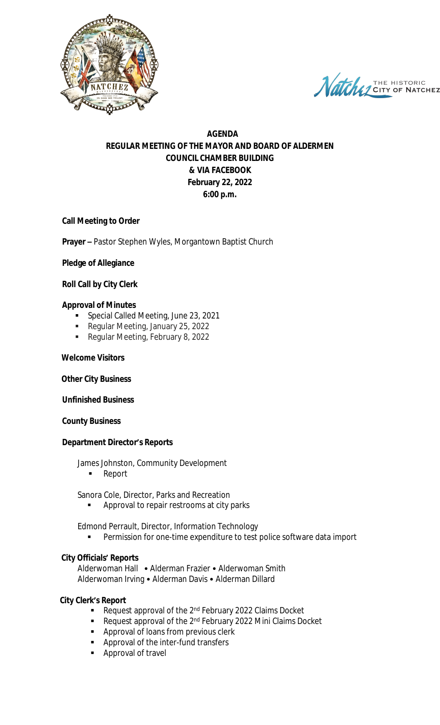

Natche THE HISTORIC **CHEZ** 

# **AGENDA REGULAR MEETING OF THE MAYOR AND BOARD OF ALDERMEN COUNCIL CHAMBER BUILDING & VIA FACEBOOK February 22, 2022 6:00 p.m.**

# **Call Meeting to Order**

**Prayer –** Pastor Stephen Wyles, Morgantown Baptist Church

# **Pledge of Allegiance**

# **Roll Call by City Clerk**

#### **Approval of Minutes**

- Special Called Meeting, June 23, 2021
- Regular Meeting, January 25, 2022
- Regular Meeting, February 8, 2022

#### **Welcome Visitors**

#### **Other City Business**

#### **Unfinished Business**

#### **County Business**

#### **Department Director's Reports**

James Johnston, Community Development

**Report** 

Sanora Cole, Director, Parks and Recreation

Approval to repair restrooms at city parks

Edmond Perrault, Director, Information Technology

Permission for one-time expenditure to test police software data import

#### **City Officials' Reports**

Alderwoman Hall • Alderman Frazier • Alderwoman Smith Alderwoman Irving • Alderman Davis • Alderman Dillard

#### **City Clerk's Report**

- Request approval of the  $2^{nd}$  February 2022 Claims Docket
- Request approval of the  $2^{nd}$  February 2022 Mini Claims Docket
- **Approval of loans from previous clerk**
- **Approval of the inter-fund transfers**
- **Approval of travel**